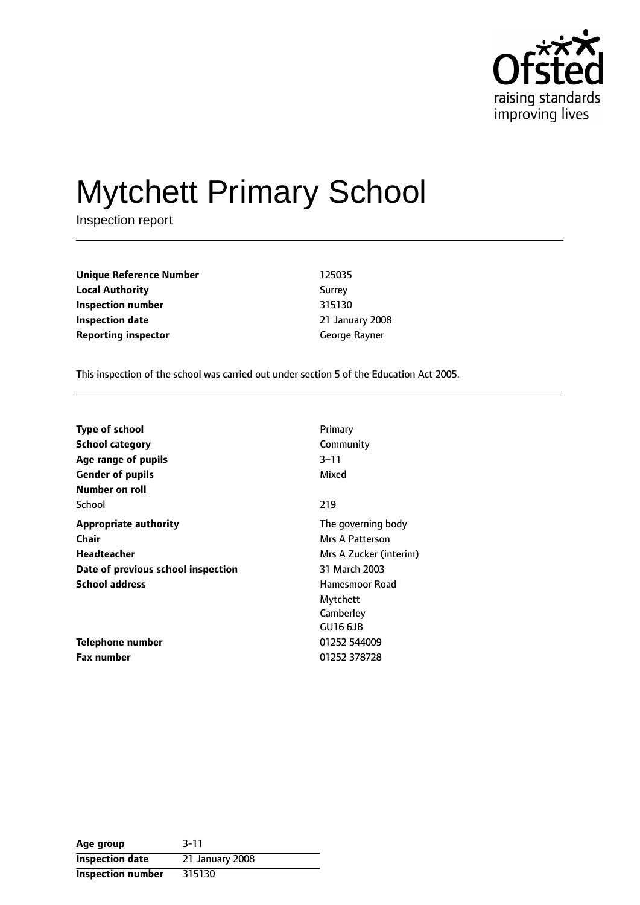

# Mytchett Primary School

Inspection report

| <b>Unique Reference Number</b> | 125035         |
|--------------------------------|----------------|
| <b>Local Authority</b>         | Surrey         |
| Inspection number              | 315130         |
| Inspection date                | 21 January 200 |
| <b>Reporting inspector</b>     | George Rayner  |

**Unique Reference Number** 125035 **Surrey Inspection number** 315130 **Inspection date** 21 January 2008

This inspection of the school was carried out under section 5 of the Education Act 2005.

| <b>Type of school</b>                               | Primary                |
|-----------------------------------------------------|------------------------|
| <b>School category</b>                              | Community              |
| Age range of pupils                                 | $3 - 11$               |
| <b>Gender of pupils</b>                             | Mixed                  |
| Number on roll                                      |                        |
| School                                              | 219                    |
| <b>Appropriate authority</b>                        | The governing body     |
| Chair                                               | Mrs A Patterson        |
| Headteacher                                         | Mrs A Zucker (interim) |
| 31 March 2003<br>Date of previous school inspection |                        |
| <b>School address</b>                               | Hamesmoor Road         |
|                                                     | Mytchett               |
|                                                     | Camberley              |
|                                                     | GU16 6JB               |
| Telephone number                                    | 01252 544009           |
| <b>Fax number</b>                                   | 01252 378728           |

| Age group                | $3 - 11$        |
|--------------------------|-----------------|
| <b>Inspection date</b>   | 21 January 2008 |
| <b>Inspection number</b> | 315130          |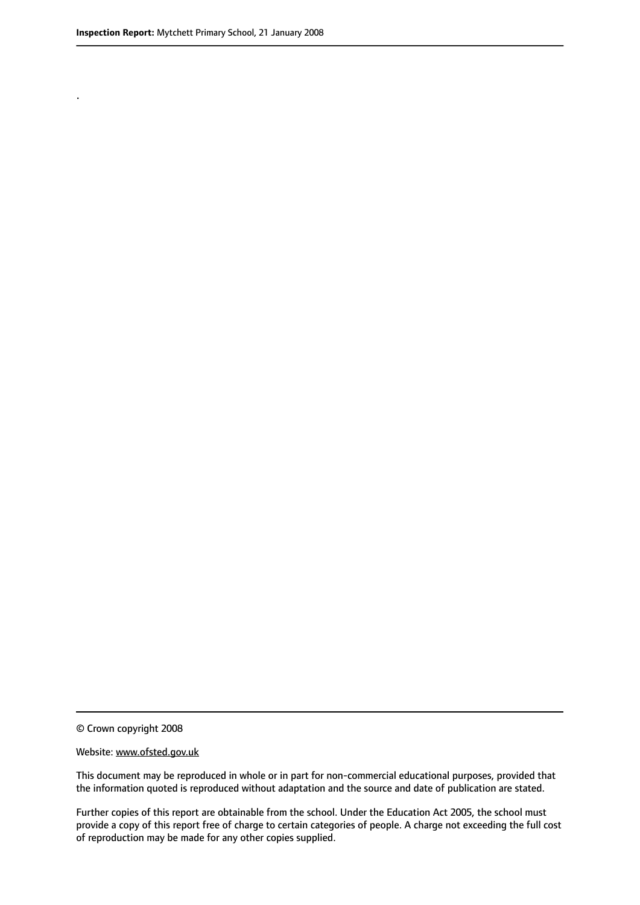.

© Crown copyright 2008

#### Website: www.ofsted.gov.uk

This document may be reproduced in whole or in part for non-commercial educational purposes, provided that the information quoted is reproduced without adaptation and the source and date of publication are stated.

Further copies of this report are obtainable from the school. Under the Education Act 2005, the school must provide a copy of this report free of charge to certain categories of people. A charge not exceeding the full cost of reproduction may be made for any other copies supplied.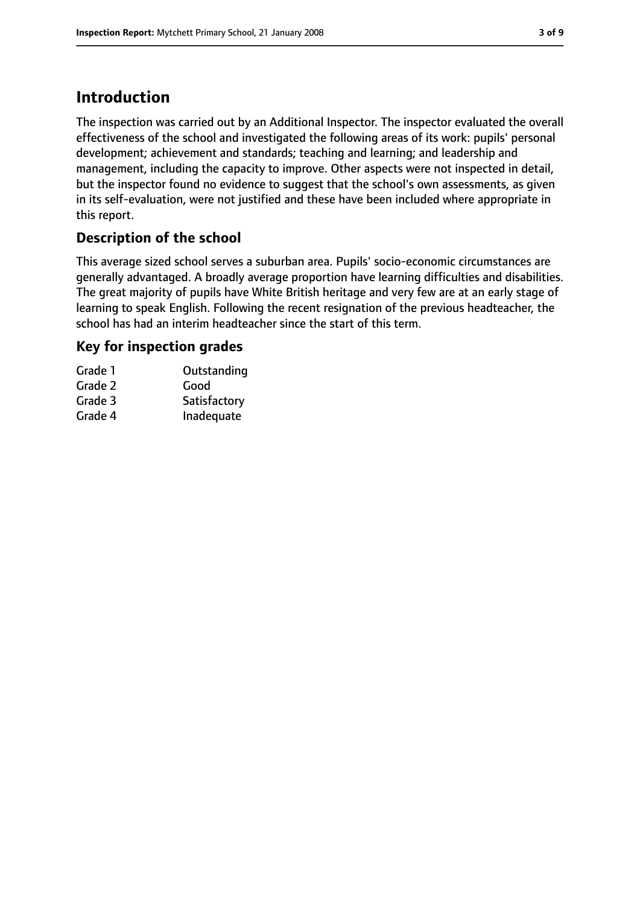# **Introduction**

The inspection was carried out by an Additional Inspector. The inspector evaluated the overall effectiveness of the school and investigated the following areas of its work: pupils' personal development; achievement and standards; teaching and learning; and leadership and management, including the capacity to improve. Other aspects were not inspected in detail, but the inspector found no evidence to suggest that the school's own assessments, as given in its self-evaluation, were not justified and these have been included where appropriate in this report.

## **Description of the school**

This average sized school serves a suburban area. Pupils' socio-economic circumstances are generally advantaged. A broadly average proportion have learning difficulties and disabilities. The great majority of pupils have White British heritage and very few are at an early stage of learning to speak English. Following the recent resignation of the previous headteacher, the school has had an interim headteacher since the start of this term.

#### **Key for inspection grades**

| Grade 1 | Outstanding  |
|---------|--------------|
| Grade 2 | Good         |
| Grade 3 | Satisfactory |
| Grade 4 | Inadequate   |
|         |              |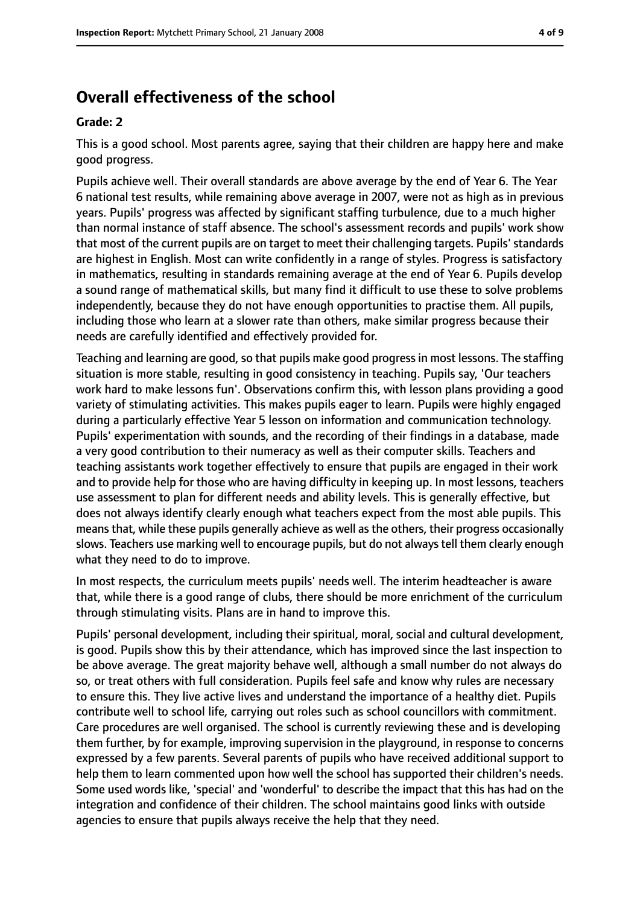# **Overall effectiveness of the school**

#### **Grade: 2**

This is a good school. Most parents agree, saying that their children are happy here and make good progress.

Pupils achieve well. Their overall standards are above average by the end of Year 6. The Year 6 national test results, while remaining above average in 2007, were not as high as in previous years. Pupils' progress was affected by significant staffing turbulence, due to a much higher than normal instance of staff absence. The school's assessment records and pupils' work show that most of the current pupils are on target to meet their challenging targets. Pupils' standards are highest in English. Most can write confidently in a range of styles. Progress is satisfactory in mathematics, resulting in standards remaining average at the end of Year 6. Pupils develop a sound range of mathematical skills, but many find it difficult to use these to solve problems independently, because they do not have enough opportunities to practise them. All pupils, including those who learn at a slower rate than others, make similar progress because their needs are carefully identified and effectively provided for.

Teaching and learning are good, so that pupils make good progress in most lessons. The staffing situation is more stable, resulting in good consistency in teaching. Pupils say, 'Our teachers work hard to make lessons fun'. Observations confirm this, with lesson plans providing a good variety of stimulating activities. This makes pupils eager to learn. Pupils were highly engaged during a particularly effective Year 5 lesson on information and communication technology. Pupils' experimentation with sounds, and the recording of their findings in a database, made a very good contribution to their numeracy as well as their computer skills. Teachers and teaching assistants work together effectively to ensure that pupils are engaged in their work and to provide help for those who are having difficulty in keeping up. In most lessons, teachers use assessment to plan for different needs and ability levels. This is generally effective, but does not always identify clearly enough what teachers expect from the most able pupils. This meansthat, while these pupils generally achieve as well asthe others, their progress occasionally slows. Teachers use marking well to encourage pupils, but do not alwaystell them clearly enough what they need to do to improve.

In most respects, the curriculum meets pupils' needs well. The interim headteacher is aware that, while there is a good range of clubs, there should be more enrichment of the curriculum through stimulating visits. Plans are in hand to improve this.

Pupils' personal development, including their spiritual, moral, social and cultural development, is good. Pupils show this by their attendance, which has improved since the last inspection to be above average. The great majority behave well, although a small number do not always do so, or treat others with full consideration. Pupils feel safe and know why rules are necessary to ensure this. They live active lives and understand the importance of a healthy diet. Pupils contribute well to school life, carrying out roles such as school councillors with commitment. Care procedures are well organised. The school is currently reviewing these and is developing them further, by for example, improving supervision in the playground, in response to concerns expressed by a few parents. Several parents of pupils who have received additional support to help them to learn commented upon how well the school has supported their children's needs. Some used words like, 'special' and 'wonderful' to describe the impact that this has had on the integration and confidence of their children. The school maintains good links with outside agencies to ensure that pupils always receive the help that they need.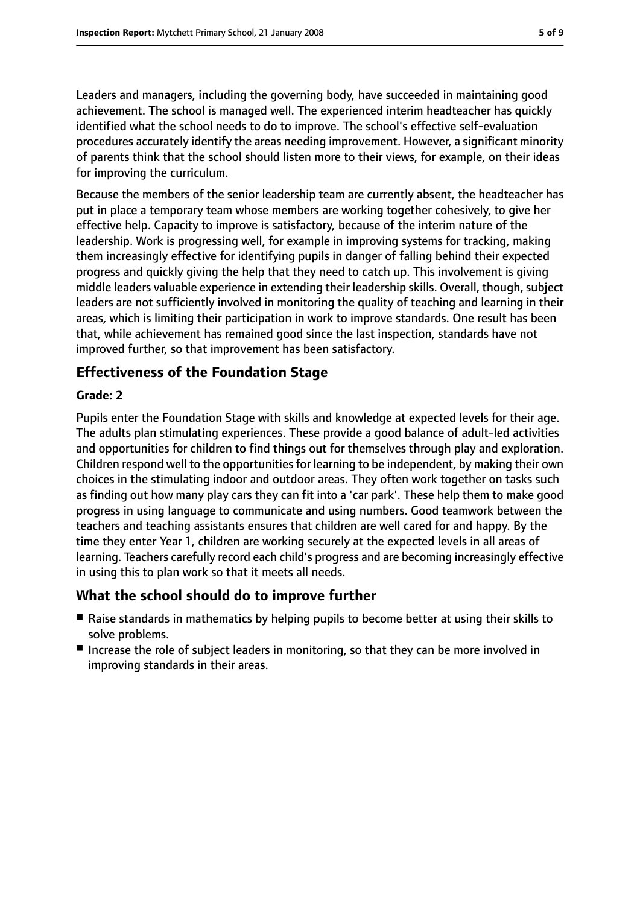Leaders and managers, including the governing body, have succeeded in maintaining good achievement. The school is managed well. The experienced interim headteacher has quickly identified what the school needs to do to improve. The school's effective self-evaluation procedures accurately identify the areas needing improvement. However, a significant minority of parents think that the school should listen more to their views, for example, on their ideas for improving the curriculum.

Because the members of the senior leadership team are currently absent, the headteacher has put in place a temporary team whose members are working together cohesively, to give her effective help. Capacity to improve is satisfactory, because of the interim nature of the leadership. Work is progressing well, for example in improving systems for tracking, making them increasingly effective for identifying pupils in danger of falling behind their expected progress and quickly giving the help that they need to catch up. This involvement is giving middle leaders valuable experience in extending their leadership skills. Overall, though, subject leaders are not sufficiently involved in monitoring the quality of teaching and learning in their areas, which is limiting their participation in work to improve standards. One result has been that, while achievement has remained good since the last inspection, standards have not improved further, so that improvement has been satisfactory.

## **Effectiveness of the Foundation Stage**

#### **Grade: 2**

Pupils enter the Foundation Stage with skills and knowledge at expected levels for their age. The adults plan stimulating experiences. These provide a good balance of adult-led activities and opportunities for children to find things out for themselves through play and exploration. Children respond well to the opportunities for learning to be independent, by making their own choices in the stimulating indoor and outdoor areas. They often work together on tasks such as finding out how many play cars they can fit into a 'car park'. These help them to make good progress in using language to communicate and using numbers. Good teamwork between the teachers and teaching assistants ensures that children are well cared for and happy. By the time they enter Year 1, children are working securely at the expected levels in all areas of learning. Teachers carefully record each child's progress and are becoming increasingly effective in using this to plan work so that it meets all needs.

## **What the school should do to improve further**

- Raise standards in mathematics by helping pupils to become better at using their skills to solve problems.
- Increase the role of subject leaders in monitoring, so that they can be more involved in improving standards in their areas.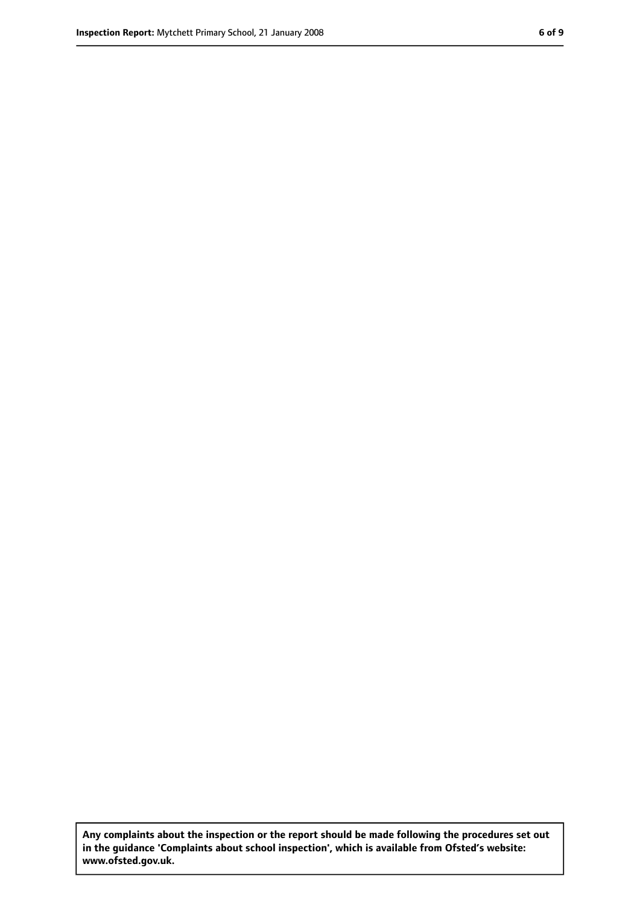**Any complaints about the inspection or the report should be made following the procedures set out in the guidance 'Complaints about school inspection', which is available from Ofsted's website: www.ofsted.gov.uk.**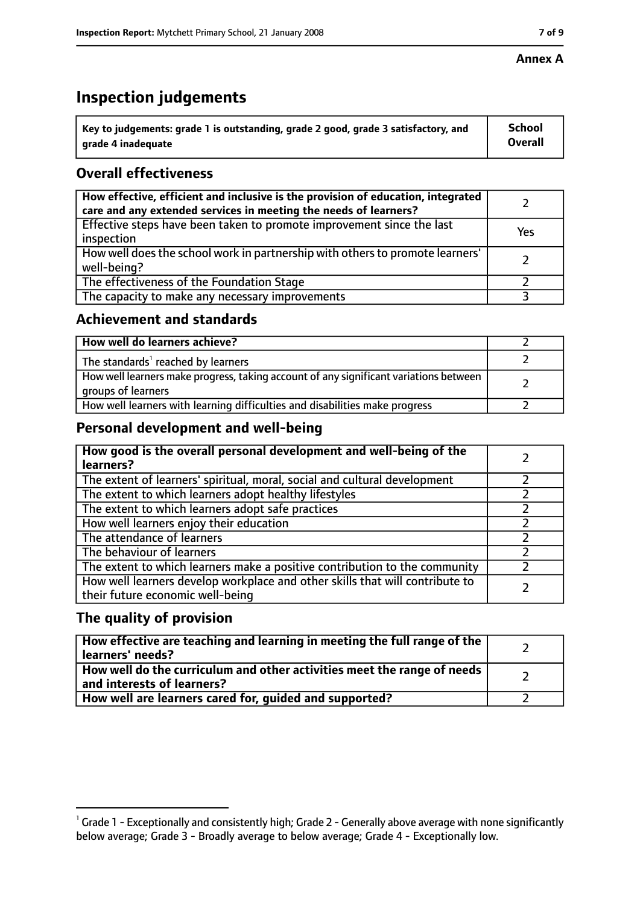#### **Annex A**

# **Inspection judgements**

| $^{\circ}$ Key to judgements: grade 1 is outstanding, grade 2 good, grade 3 satisfactory, and | <b>School</b>  |
|-----------------------------------------------------------------------------------------------|----------------|
| arade 4 inadequate                                                                            | <b>Overall</b> |

## **Overall effectiveness**

| How effective, efficient and inclusive is the provision of education, integrated<br>care and any extended services in meeting the needs of learners? |     |
|------------------------------------------------------------------------------------------------------------------------------------------------------|-----|
| Effective steps have been taken to promote improvement since the last<br>inspection                                                                  | Yes |
| How well does the school work in partnership with others to promote learners'<br>well-being?                                                         |     |
| The effectiveness of the Foundation Stage                                                                                                            |     |
| The capacity to make any necessary improvements                                                                                                      |     |

#### **Achievement and standards**

| How well do learners achieve?                                                                               |  |
|-------------------------------------------------------------------------------------------------------------|--|
| The standards <sup>1</sup> reached by learners                                                              |  |
| How well learners make progress, taking account of any significant variations between<br>groups of learners |  |
| How well learners with learning difficulties and disabilities make progress                                 |  |

#### **Personal development and well-being**

| How good is the overall personal development and well-being of the<br>learners?                                  |  |
|------------------------------------------------------------------------------------------------------------------|--|
| The extent of learners' spiritual, moral, social and cultural development                                        |  |
| The extent to which learners adopt healthy lifestyles                                                            |  |
| The extent to which learners adopt safe practices                                                                |  |
| How well learners enjoy their education                                                                          |  |
| The attendance of learners                                                                                       |  |
| The behaviour of learners                                                                                        |  |
| The extent to which learners make a positive contribution to the community                                       |  |
| How well learners develop workplace and other skills that will contribute to<br>their future economic well-being |  |

#### **The quality of provision**

| How effective are teaching and learning in meeting the full range of the<br>learners' needs?          |  |
|-------------------------------------------------------------------------------------------------------|--|
| How well do the curriculum and other activities meet the range of needs<br>and interests of learners? |  |
| How well are learners cared for, guided and supported?                                                |  |

 $^1$  Grade 1 - Exceptionally and consistently high; Grade 2 - Generally above average with none significantly below average; Grade 3 - Broadly average to below average; Grade 4 - Exceptionally low.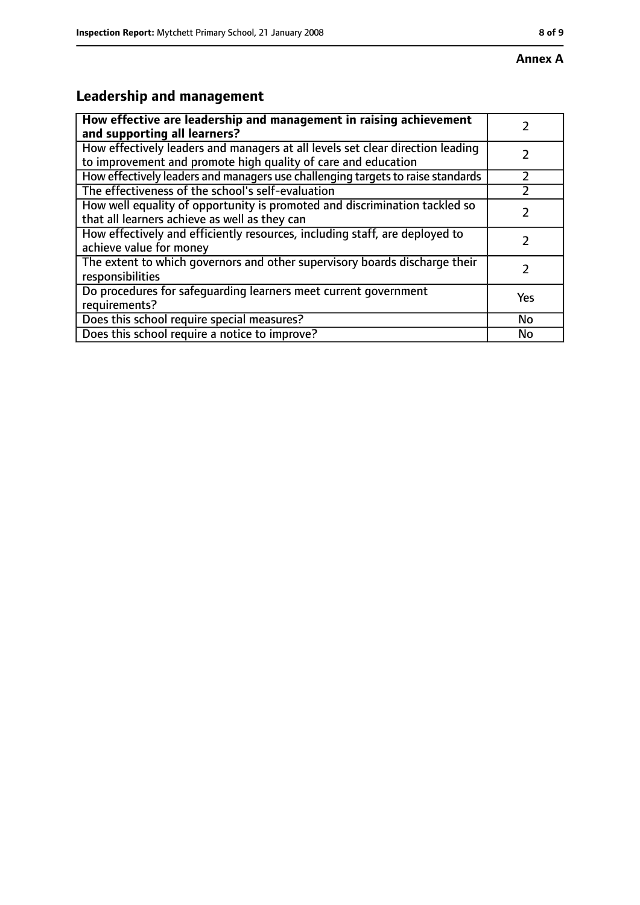# **Leadership and management**

| How effective are leadership and management in raising achievement<br>and supporting all learners?                                              |     |
|-------------------------------------------------------------------------------------------------------------------------------------------------|-----|
| How effectively leaders and managers at all levels set clear direction leading<br>to improvement and promote high quality of care and education |     |
| How effectively leaders and managers use challenging targets to raise standards                                                                 |     |
| The effectiveness of the school's self-evaluation                                                                                               |     |
| How well equality of opportunity is promoted and discrimination tackled so<br>that all learners achieve as well as they can                     |     |
| How effectively and efficiently resources, including staff, are deployed to<br>achieve value for money                                          |     |
| The extent to which governors and other supervisory boards discharge their<br>responsibilities                                                  |     |
| Do procedures for safequarding learners meet current government<br>requirements?                                                                | Yes |
| Does this school require special measures?                                                                                                      | No  |
| Does this school require a notice to improve?                                                                                                   | No  |